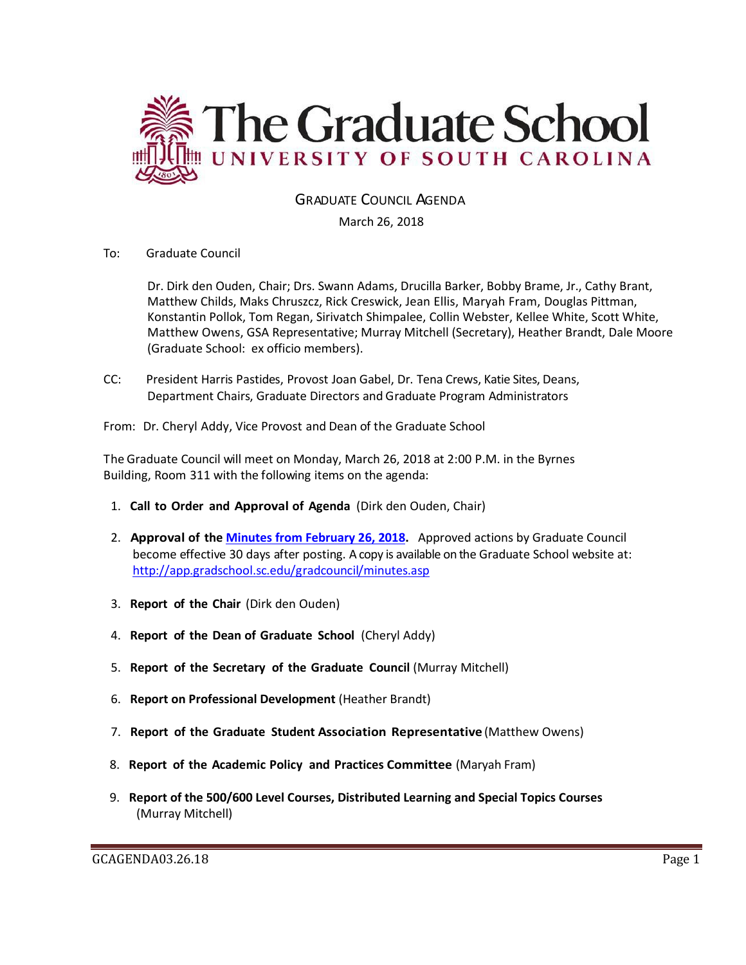

GRADUATE COUNCIL AGENDA

March 26, 2018

To: Graduate Council

Dr. Dirk den Ouden, Chair; Drs. Swann Adams, Drucilla Barker, Bobby Brame, Jr., Cathy Brant, Matthew Childs, Maks Chruszcz, Rick Creswick, Jean Ellis, Maryah Fram, Douglas Pittman, Konstantin Pollok, Tom Regan, Sirivatch Shimpalee, Collin Webster, Kellee White, Scott White, Matthew Owens, GSA Representative; Murray Mitchell (Secretary), Heather Brandt, Dale Moore (Graduate School: ex officio members).

CC: President Harris Pastides, Provost Joan Gabel, Dr. Tena Crews, Katie Sites, Deans, Department Chairs, Graduate Directors and Graduate Program Administrators

From: Dr. Cheryl Addy, Vice Provost and Dean of the Graduate School

The Graduate Council will meet on Monday, March 26, 2018 at 2:00 P.M. in the Byrnes Building, Room 311 with the following items on the agenda:

- 1. **Call to Order and Approval of Agenda** (Dirk den Ouden, Chair)
- 2. **Approval of the [Minutes from February 26, 2018.](GCMINUTESFEB262018MM.pdf)** Approved actions by Graduate Council become effective 30 days after posting. A copy is available on the Graduate School website at: <http://app.gradschool.sc.edu/gradcouncil/minutes.asp>
- 3. **Report of the Chair** (Dirk den Ouden)
- 4. **Report of the Dean of Graduate School** (Cheryl Addy)
- 5. **Report of the Secretary of the Graduate Council** (Murray Mitchell)
- 6. **Report on Professional Development** (Heather Brandt)
- 7. **Report of the Graduate Student Association Representative** (Matthew Owens)
- 8. **Report of the Academic Policy and Practices Committee** (Maryah Fram)
- 9. **Report of the 500/600 Level Courses, Distributed Learning and Special Topics Courses** (Murray Mitchell)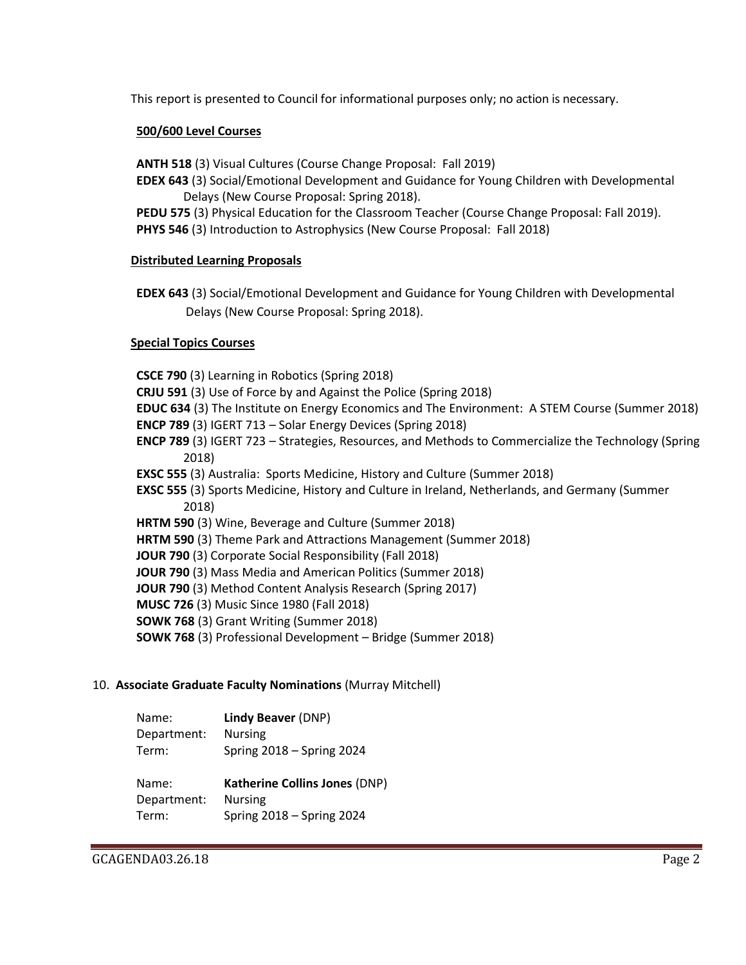This report is presented to Council for informational purposes only; no action is necessary.

# **500/600 Level Courses**

**ANTH 518** (3) Visual Cultures (Course Change Proposal: Fall 2019)

- **EDEX 643** (3) Social/Emotional Development and Guidance for Young Children with Developmental Delays (New Course Proposal: Spring 2018).
- **PEDU 575** (3) Physical Education for the Classroom Teacher (Course Change Proposal: Fall 2019). **PHYS 546** (3) Introduction to Astrophysics (New Course Proposal: Fall 2018)

### **Distributed Learning Proposals**

**EDEX 643** (3) Social/Emotional Development and Guidance for Young Children with Developmental Delays (New Course Proposal: Spring 2018).

# **Special Topics Courses**

**CSCE 790** (3) Learning in Robotics (Spring 2018) **CRJU 591** (3) Use of Force by and Against the Police (Spring 2018) **EDUC 634** (3) The Institute on Energy Economics and The Environment: A STEM Course (Summer 2018) **ENCP 789** (3) IGERT 713 – Solar Energy Devices (Spring 2018) **ENCP 789** (3) IGERT 723 – Strategies, Resources, and Methods to Commercialize the Technology (Spring 2018) **EXSC 555** (3) Australia: Sports Medicine, History and Culture (Summer 2018) **EXSC 555** (3) Sports Medicine, History and Culture in Ireland, Netherlands, and Germany (Summer 2018) **HRTM 590** (3) Wine, Beverage and Culture (Summer 2018) **HRTM 590** (3) Theme Park and Attractions Management (Summer 2018) **JOUR 790** (3) Corporate Social Responsibility (Fall 2018) **JOUR 790** (3) Mass Media and American Politics (Summer 2018) **JOUR 790** (3) Method Content Analysis Research (Spring 2017) **MUSC 726** (3) Music Since 1980 (Fall 2018) **SOWK 768** (3) Grant Writing (Summer 2018) **SOWK 768** (3) Professional Development – Bridge (Summer 2018)

### 10. **Associate Graduate Faculty Nominations** (Murray Mitchell)

| Name:       | Lindy Beaver (DNP)        |
|-------------|---------------------------|
| Department: | <b>Nursing</b>            |
| Term:       | Spring 2018 - Spring 2024 |

Name: **Katherine Collins Jones** (DNP) Department: Nursing Term: Spring 2018 – Spring 2024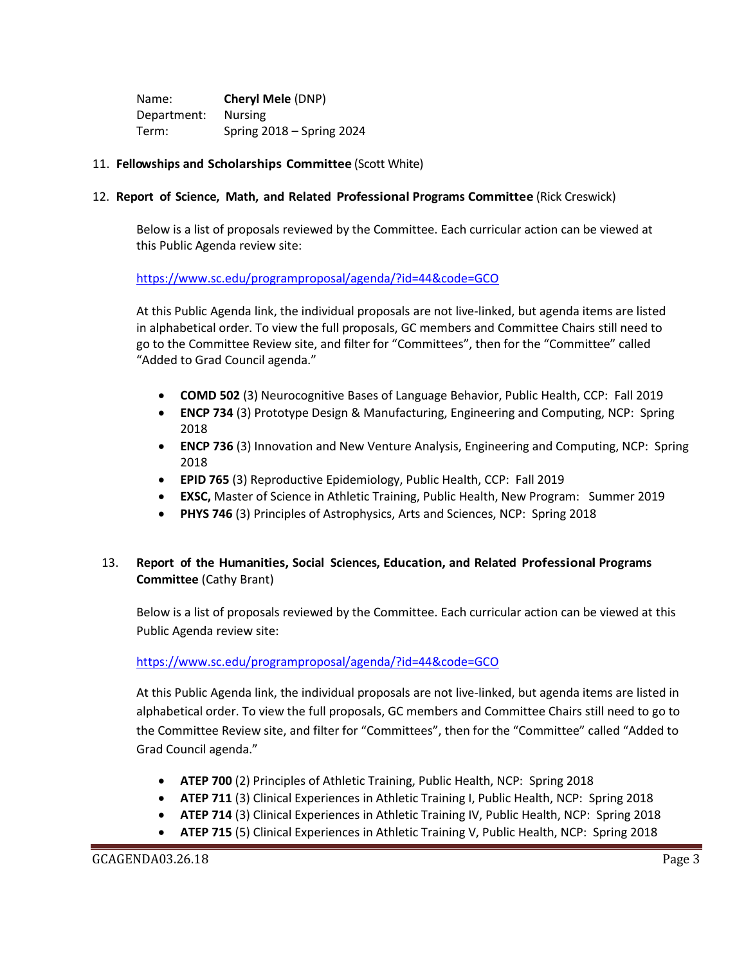Name: **Cheryl Mele** (DNP) Department: Nursing Term: Spring 2018 – Spring 2024

# 11. **Fellowships and Scholarships Committee** (Scott White)

### 12. **Report of Science, Math, and Related Professional Programs Committee** (Rick Creswick)

Below is a list of proposals reviewed by the Committee. Each curricular action can be viewed at this Public Agenda review site:

# <https://www.sc.edu/programproposal/agenda/?id=44&code=GCO>

At this Public Agenda link, the individual proposals are not live-linked, but agenda items are listed in alphabetical order. To view the full proposals, GC members and Committee Chairs still need to go to the Committee Review site, and filter for "Committees", then for the "Committee" called "Added to Grad Council agenda."

- **COMD 502** (3) Neurocognitive Bases of Language Behavior, Public Health, CCP: Fall 2019
- **ENCP 734** (3) Prototype Design & Manufacturing, Engineering and Computing, NCP: Spring 2018
- **ENCP 736** (3) Innovation and New Venture Analysis, Engineering and Computing, NCP: Spring 2018
- **EPID 765** (3) Reproductive Epidemiology, Public Health, CCP: Fall 2019
- **EXSC,** Master of Science in Athletic Training, Public Health, New Program: Summer 2019
- **PHYS 746** (3) Principles of Astrophysics, Arts and Sciences, NCP: Spring 2018

# 13. **Report of the Humanities, Social Sciences, Education, and Related Professional Programs Committee** (Cathy Brant)

Below is a list of proposals reviewed by the Committee. Each curricular action can be viewed at this Public Agenda review site:

### <https://www.sc.edu/programproposal/agenda/?id=44&code=GCO>

At this Public Agenda link, the individual proposals are not live-linked, but agenda items are listed in alphabetical order. To view the full proposals, GC members and Committee Chairs still need to go to the Committee Review site, and filter for "Committees", then for the "Committee" called "Added to Grad Council agenda."

- **ATEP 700** (2) Principles of Athletic Training, Public Health, NCP: Spring 2018
- **ATEP 711** (3) Clinical Experiences in Athletic Training I, Public Health, NCP: Spring 2018
- **ATEP 714** (3) Clinical Experiences in Athletic Training IV, Public Health, NCP: Spring 2018
- **ATEP 715** (5) Clinical Experiences in Athletic Training V, Public Health, NCP: Spring 2018